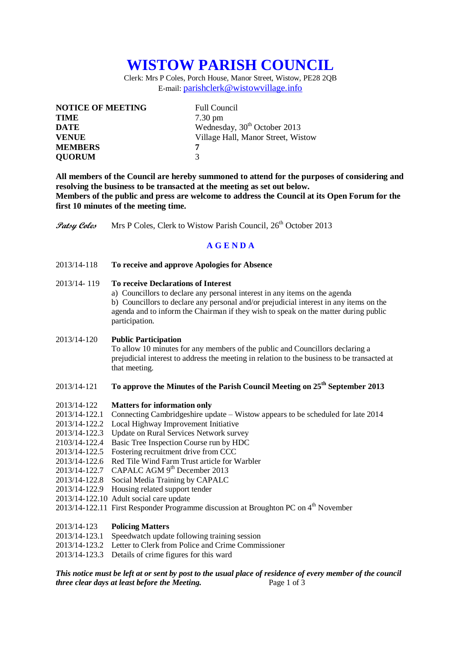# **WISTOW PARISH COUNCIL**

Clerk: Mrs P Coles, Porch House, Manor Street, Wistow, PE28 2QB E-mail: [parishclerk@wistowvillage.info](mailto:parishclerk@wistowvillage.info)

| <b>NOTICE OF MEETING</b> | <b>Full Council</b>                      |
|--------------------------|------------------------------------------|
| <b>TIME</b>              | $7.30 \text{ pm}$                        |
| DATE                     | Wednesday, 30 <sup>th</sup> October 2013 |
| <b>VENUE</b>             | Village Hall, Manor Street, Wistow       |
| <b>MEMBERS</b>           | 7                                        |
| <b>QUORUM</b>            | 3                                        |

**All members of the Council are hereby summoned to attend for the purposes of considering and resolving the business to be transacted at the meeting as set out below. Members of the public and press are welcome to address the Council at its Open Forum for the first 10 minutes of the meeting time.**

**Patsy Coles** Mrs P Coles, Clerk to Wistow Parish Council, 26<sup>th</sup> October 2013

# **A G E N D A**

2013/14-118 **To receive and approve Apologies for Absence**

# 2013/14- 119 **To receive Declarations of Interest**

a) Councillors to declare any personal interest in any items on the agenda b) Councillors to declare any personal and/or prejudicial interest in any items on the agenda and to inform the Chairman if they wish to speak on the matter during public participation.

2013/14-120 **Public Participation**

To allow 10 minutes for any members of the public and Councillors declaring a prejudicial interest to address the meeting in relation to the business to be transacted at that meeting.

# 2013/14-121 **To approve the Minutes of the Parish Council Meeting on 25th September 2013**

### 2013/14-122 **Matters for information only**

- 2013/14-122.1 Connecting Cambridgeshire update Wistow appears to be scheduled for late 2014
- 2013/14-122.2 Local Highway Improvement Initiative
- 2013/14-122.3 Update on Rural Services Network survey
- 2103/14-122.4 Basic Tree Inspection Course run by HDC
- 2013/14-122.5 Fostering recruitment drive from CCC
- 2013/14-122.6 Red Tile Wind Farm Trust article for Warbler
- 2013/14-122.7 CAPALC AGM 9<sup>th</sup> December 2013
- 2013/14-122.8 Social Media Training by CAPALC
- 2013/14-122.9 Housing related support tender
- 2013/14-122.10 Adult social care update
- 2013/14-122.11 First Responder Programme discussion at Broughton PC on  $4<sup>th</sup>$  November

## 2013/14-123 **Policing Matters**

- 2013/14-123.1 Speedwatch update following training session
- 2013/14-123.2 Letter to Clerk from Police and Crime Commissioner
- 2013/14-123.3 Details of crime figures for this ward

*This notice must be left at or sent by post to the usual place of residence of every member of the council three clear days at least before the Meeting.* Page 1 of 3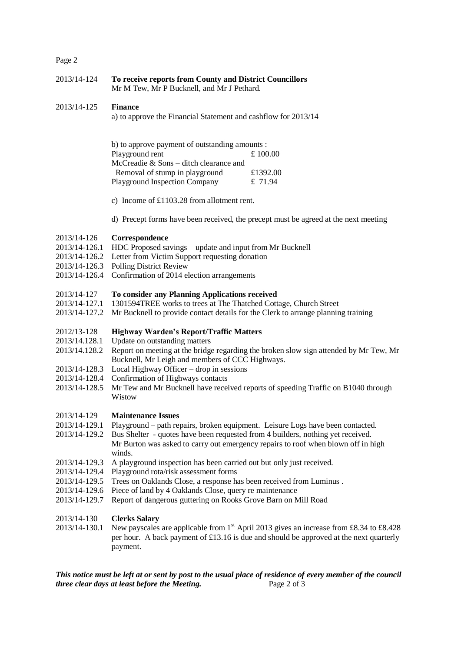# Page 2

| 2013/14-124 | To receive reports from County and District Councillors |
|-------------|---------------------------------------------------------|
|             | Mr M Tew, Mr P Bucknell, and Mr J Pethard.              |

# 2013/14-125 **Finance**

a) to approve the Financial Statement and cashflow for 2013/14

| b) to approve payment of outstanding amounts : |           |  |
|------------------------------------------------|-----------|--|
| Playground rent                                | £ 100.00  |  |
| McCreadie & Sons – ditch clearance and         |           |  |
| Removal of stump in playground                 | £1392.00  |  |
| <b>Playground Inspection Company</b>           | £ $71.94$ |  |

c) Income of £1103.28 from allotment rent.

d) Precept forms have been received, the precept must be agreed at the next meeting

#### 2013/14-126 **Correspondence**

- 2013/14-126.1 HDC Proposed savings update and input from Mr Bucknell
- 2013/14-126.2 Letter from Victim Support requesting donation
- 2013/14-126.3 Polling District Review
- 2013/14-126.4 Confirmation of 2014 election arrangements

#### 2013/14-127 **To consider any Planning Applications received**

- 2013/14-127.1 1301594TREE works to trees at The Thatched Cottage, Church Street
- 2013/14-127.2 Mr Bucknell to provide contact details for the Clerk to arrange planning training

## 2012/13-128 **Highway Warden's Report/Traffic Matters**

- 2013/14.128.1 Update on outstanding matters
- 2013/14.128.2 Report on meeting at the bridge regarding the broken slow sign attended by Mr Tew, Mr Bucknell, Mr Leigh and members of CCC Highways.
- 2013/14-128.3 Local Highway Officer drop in sessions
- 2013/14-128.4 Confirmation of Highways contacts
- 2013/14-128.5 Mr Tew and Mr Bucknell have received reports of speeding Traffic on B1040 through Wistow

### 2013/14-129 **Maintenance Issues**

- 2013/14-129.1 Playground path repairs, broken equipment. Leisure Logs have been contacted.
- 2013/14-129.2 Bus Shelter quotes have been requested from 4 builders, nothing yet received. Mr Burton was asked to carry out emergency repairs to roof when blown off in high winds.
- 2013/14-129.3 A playground inspection has been carried out but only just received.
- 2013/14-129.4 Playground rota/risk assessment forms
- 2013/14-129.5 Trees on Oaklands Close, a response has been received from Luminus .
- 2013/14-129.6 Piece of land by 4 Oaklands Close, query re maintenance
- 2013/14-129.7 Report of dangerous guttering on Rooks Grove Barn on Mill Road

### 2013/14-130 **Clerks Salary**

2013/14-130.1 New payscales are applicable from  $1<sup>st</sup>$  April 2013 gives an increase from £8.34 to £8.428 per hour. A back payment of £13.16 is due and should be approved at the next quarterly payment.

*This notice must be left at or sent by post to the usual place of residence of every member of the council three clear days at least before the Meeting.* Page 2 of 3